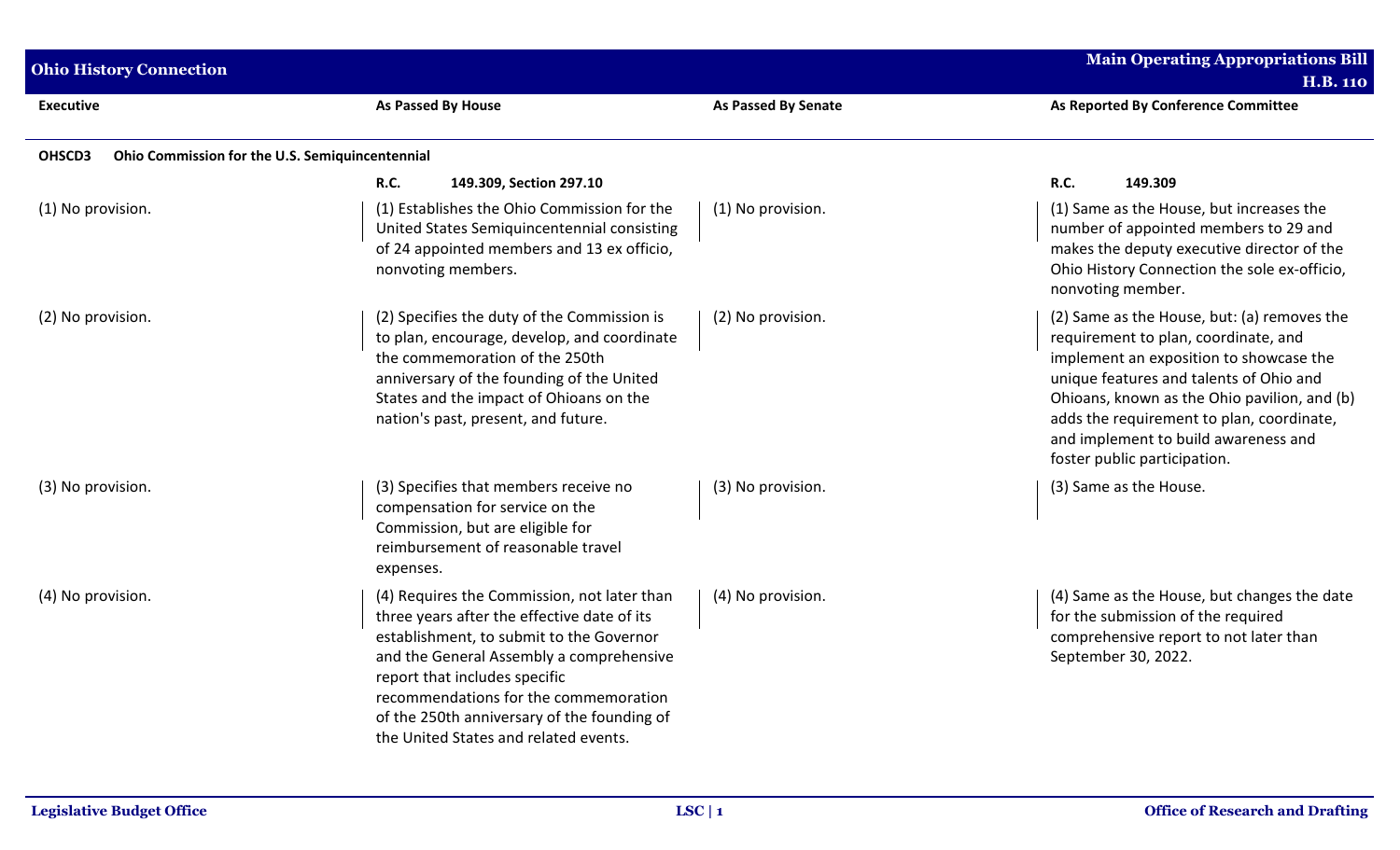| <b>Ohio History Connection</b>                            |                                                                                                                                                                                                                                                                                                                                                      |                            | <b>Main Operating Appropriations Bill</b><br><b>H.B. 110</b>                                                                                                                                                                                                                                                                                   |
|-----------------------------------------------------------|------------------------------------------------------------------------------------------------------------------------------------------------------------------------------------------------------------------------------------------------------------------------------------------------------------------------------------------------------|----------------------------|------------------------------------------------------------------------------------------------------------------------------------------------------------------------------------------------------------------------------------------------------------------------------------------------------------------------------------------------|
| <b>Executive</b>                                          | As Passed By House                                                                                                                                                                                                                                                                                                                                   | <b>As Passed By Senate</b> | As Reported By Conference Committee                                                                                                                                                                                                                                                                                                            |
| Ohio Commission for the U.S. Semiquincentennial<br>OHSCD3 |                                                                                                                                                                                                                                                                                                                                                      |                            |                                                                                                                                                                                                                                                                                                                                                |
|                                                           | <b>R.C.</b><br>149.309, Section 297.10                                                                                                                                                                                                                                                                                                               |                            | <b>R.C.</b><br>149.309                                                                                                                                                                                                                                                                                                                         |
| (1) No provision.                                         | (1) Establishes the Ohio Commission for the<br>United States Semiquincentennial consisting<br>of 24 appointed members and 13 ex officio,<br>nonvoting members.                                                                                                                                                                                       | (1) No provision.          | (1) Same as the House, but increases the<br>number of appointed members to 29 and<br>makes the deputy executive director of the<br>Ohio History Connection the sole ex-officio,<br>nonvoting member.                                                                                                                                           |
| (2) No provision.                                         | (2) Specifies the duty of the Commission is<br>to plan, encourage, develop, and coordinate<br>the commemoration of the 250th<br>anniversary of the founding of the United<br>States and the impact of Ohioans on the<br>nation's past, present, and future.                                                                                          | (2) No provision.          | (2) Same as the House, but: (a) removes the<br>requirement to plan, coordinate, and<br>implement an exposition to showcase the<br>unique features and talents of Ohio and<br>Ohioans, known as the Ohio pavilion, and (b)<br>adds the requirement to plan, coordinate,<br>and implement to build awareness and<br>foster public participation. |
| (3) No provision.                                         | (3) Specifies that members receive no<br>compensation for service on the<br>Commission, but are eligible for<br>reimbursement of reasonable travel<br>expenses.                                                                                                                                                                                      | (3) No provision.          | (3) Same as the House.                                                                                                                                                                                                                                                                                                                         |
| (4) No provision.                                         | (4) Requires the Commission, not later than<br>three years after the effective date of its<br>establishment, to submit to the Governor<br>and the General Assembly a comprehensive<br>report that includes specific<br>recommendations for the commemoration<br>of the 250th anniversary of the founding of<br>the United States and related events. | (4) No provision.          | (4) Same as the House, but changes the date<br>for the submission of the required<br>comprehensive report to not later than<br>September 30, 2022.                                                                                                                                                                                             |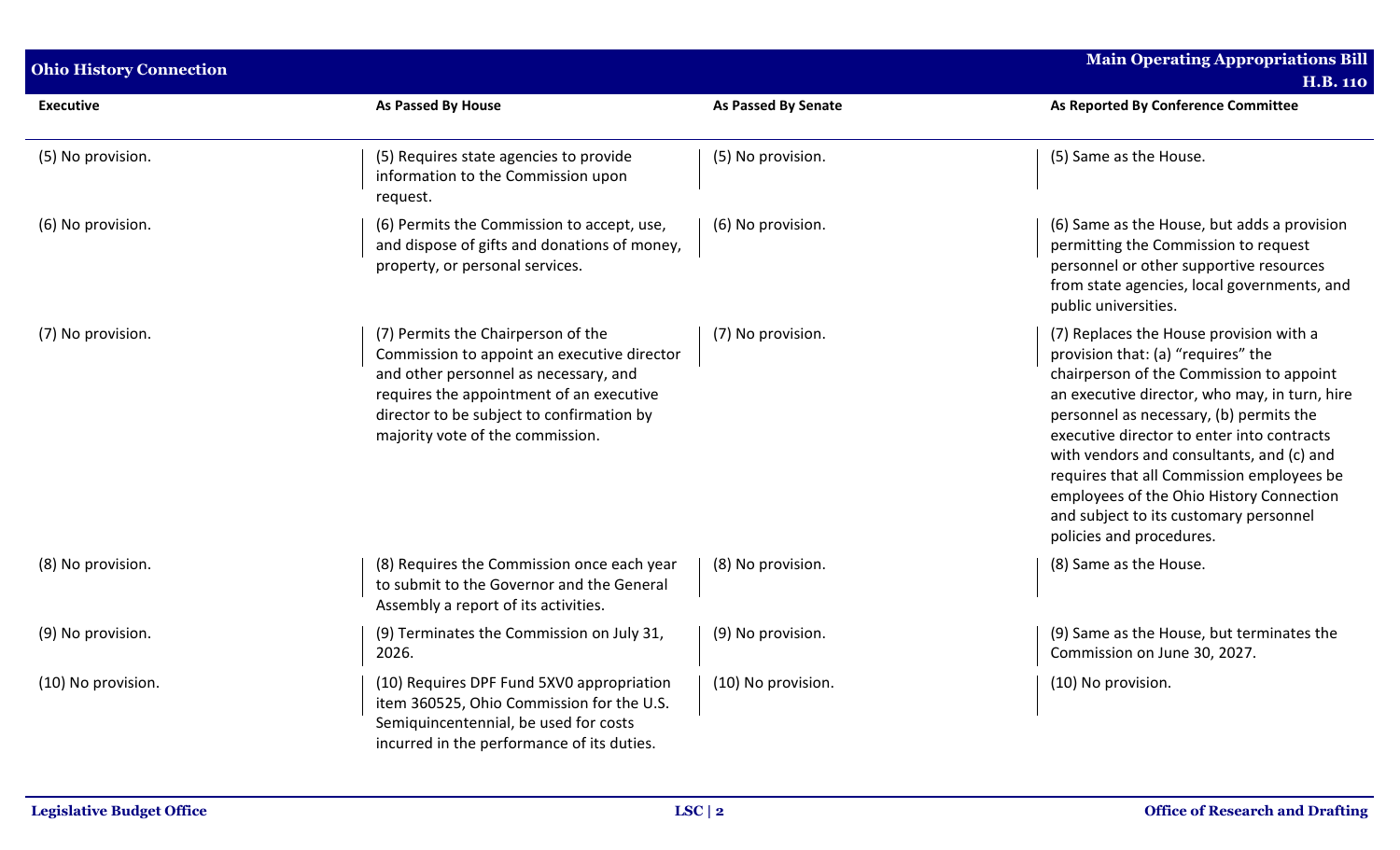| <b>Ohio History Connection</b> |                                                                                                                                                                                                                                                         |                            | <b>Main Operating Appropriations Bill</b>                                                                                                                                                                                                                                                                                                                                                                                                                                       |  |
|--------------------------------|---------------------------------------------------------------------------------------------------------------------------------------------------------------------------------------------------------------------------------------------------------|----------------------------|---------------------------------------------------------------------------------------------------------------------------------------------------------------------------------------------------------------------------------------------------------------------------------------------------------------------------------------------------------------------------------------------------------------------------------------------------------------------------------|--|
|                                |                                                                                                                                                                                                                                                         |                            | <b>H.B. 110</b>                                                                                                                                                                                                                                                                                                                                                                                                                                                                 |  |
| <b>Executive</b>               | <b>As Passed By House</b>                                                                                                                                                                                                                               | <b>As Passed By Senate</b> | As Reported By Conference Committee                                                                                                                                                                                                                                                                                                                                                                                                                                             |  |
| (5) No provision.              | (5) Requires state agencies to provide<br>information to the Commission upon<br>request.                                                                                                                                                                | (5) No provision.          | (5) Same as the House.                                                                                                                                                                                                                                                                                                                                                                                                                                                          |  |
| (6) No provision.              | (6) Permits the Commission to accept, use,<br>and dispose of gifts and donations of money,<br>property, or personal services.                                                                                                                           | (6) No provision.          | (6) Same as the House, but adds a provision<br>permitting the Commission to request<br>personnel or other supportive resources<br>from state agencies, local governments, and<br>public universities.                                                                                                                                                                                                                                                                           |  |
| (7) No provision.              | (7) Permits the Chairperson of the<br>Commission to appoint an executive director<br>and other personnel as necessary, and<br>requires the appointment of an executive<br>director to be subject to confirmation by<br>majority vote of the commission. | (7) No provision.          | (7) Replaces the House provision with a<br>provision that: (a) "requires" the<br>chairperson of the Commission to appoint<br>an executive director, who may, in turn, hire<br>personnel as necessary, (b) permits the<br>executive director to enter into contracts<br>with vendors and consultants, and (c) and<br>requires that all Commission employees be<br>employees of the Ohio History Connection<br>and subject to its customary personnel<br>policies and procedures. |  |
| (8) No provision.              | (8) Requires the Commission once each year<br>to submit to the Governor and the General<br>Assembly a report of its activities.                                                                                                                         | (8) No provision.          | (8) Same as the House.                                                                                                                                                                                                                                                                                                                                                                                                                                                          |  |
| (9) No provision.              | (9) Terminates the Commission on July 31,<br>2026.                                                                                                                                                                                                      | (9) No provision.          | (9) Same as the House, but terminates the<br>Commission on June 30, 2027.                                                                                                                                                                                                                                                                                                                                                                                                       |  |
| (10) No provision.             | (10) Requires DPF Fund 5XV0 appropriation<br>item 360525, Ohio Commission for the U.S.<br>Semiquincentennial, be used for costs<br>incurred in the performance of its duties.                                                                           | (10) No provision.         | (10) No provision.                                                                                                                                                                                                                                                                                                                                                                                                                                                              |  |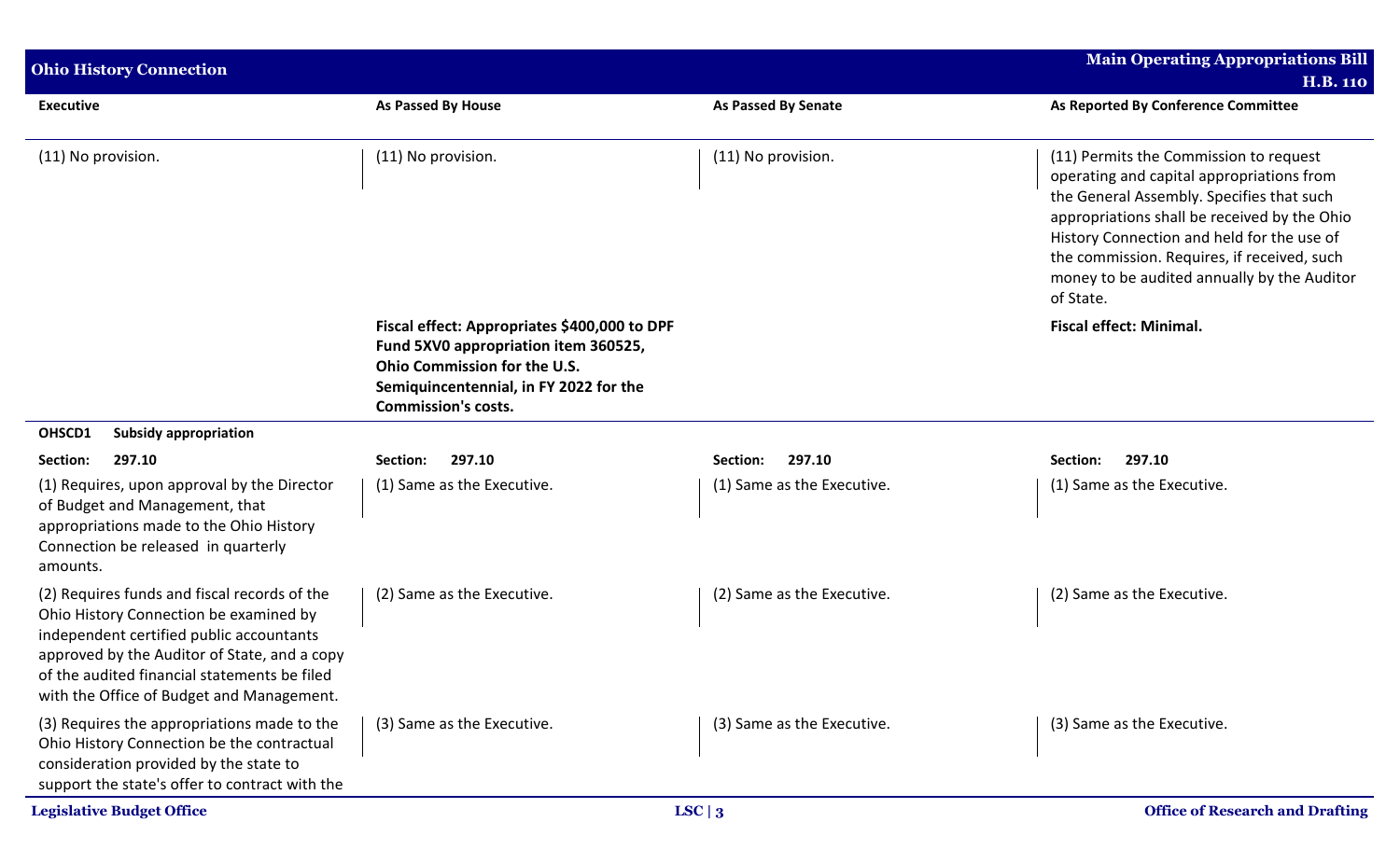| <b>Ohio History Connection</b>                                                                                                                                                                                                                                                  |                                                                                                                                                                                              |                            | Main Operating Appropriations Bill<br><b>H.B. 110</b>                                                                                                                                                                                                                                                                                     |
|---------------------------------------------------------------------------------------------------------------------------------------------------------------------------------------------------------------------------------------------------------------------------------|----------------------------------------------------------------------------------------------------------------------------------------------------------------------------------------------|----------------------------|-------------------------------------------------------------------------------------------------------------------------------------------------------------------------------------------------------------------------------------------------------------------------------------------------------------------------------------------|
| <b>Executive</b>                                                                                                                                                                                                                                                                | As Passed By House                                                                                                                                                                           | <b>As Passed By Senate</b> | As Reported By Conference Committee                                                                                                                                                                                                                                                                                                       |
| (11) No provision.                                                                                                                                                                                                                                                              | (11) No provision.                                                                                                                                                                           | (11) No provision.         | (11) Permits the Commission to request<br>operating and capital appropriations from<br>the General Assembly. Specifies that such<br>appropriations shall be received by the Ohio<br>History Connection and held for the use of<br>the commission. Requires, if received, such<br>money to be audited annually by the Auditor<br>of State. |
|                                                                                                                                                                                                                                                                                 | Fiscal effect: Appropriates \$400,000 to DPF<br>Fund 5XV0 appropriation item 360525,<br>Ohio Commission for the U.S.<br>Semiquincentennial, in FY 2022 for the<br><b>Commission's costs.</b> |                            | <b>Fiscal effect: Minimal.</b>                                                                                                                                                                                                                                                                                                            |
| OHSCD1<br><b>Subsidy appropriation</b>                                                                                                                                                                                                                                          |                                                                                                                                                                                              |                            |                                                                                                                                                                                                                                                                                                                                           |
| Section:<br>297.10                                                                                                                                                                                                                                                              | 297.10<br>Section:                                                                                                                                                                           | 297.10<br>Section:         | 297.10<br>Section:                                                                                                                                                                                                                                                                                                                        |
| (1) Requires, upon approval by the Director<br>of Budget and Management, that<br>appropriations made to the Ohio History<br>Connection be released in quarterly<br>amounts.                                                                                                     | (1) Same as the Executive.                                                                                                                                                                   | (1) Same as the Executive. | (1) Same as the Executive.                                                                                                                                                                                                                                                                                                                |
| (2) Requires funds and fiscal records of the<br>Ohio History Connection be examined by<br>independent certified public accountants<br>approved by the Auditor of State, and a copy<br>of the audited financial statements be filed<br>with the Office of Budget and Management. | (2) Same as the Executive.                                                                                                                                                                   | (2) Same as the Executive. | (2) Same as the Executive.                                                                                                                                                                                                                                                                                                                |
| (3) Requires the appropriations made to the<br>Ohio History Connection be the contractual<br>consideration provided by the state to<br>support the state's offer to contract with the                                                                                           | (3) Same as the Executive.                                                                                                                                                                   | (3) Same as the Executive. | (3) Same as the Executive.                                                                                                                                                                                                                                                                                                                |
| <b>Legislative Budget Office</b>                                                                                                                                                                                                                                                |                                                                                                                                                                                              | LSC $\vert 3$              | <b>Office of Research and Drafting</b>                                                                                                                                                                                                                                                                                                    |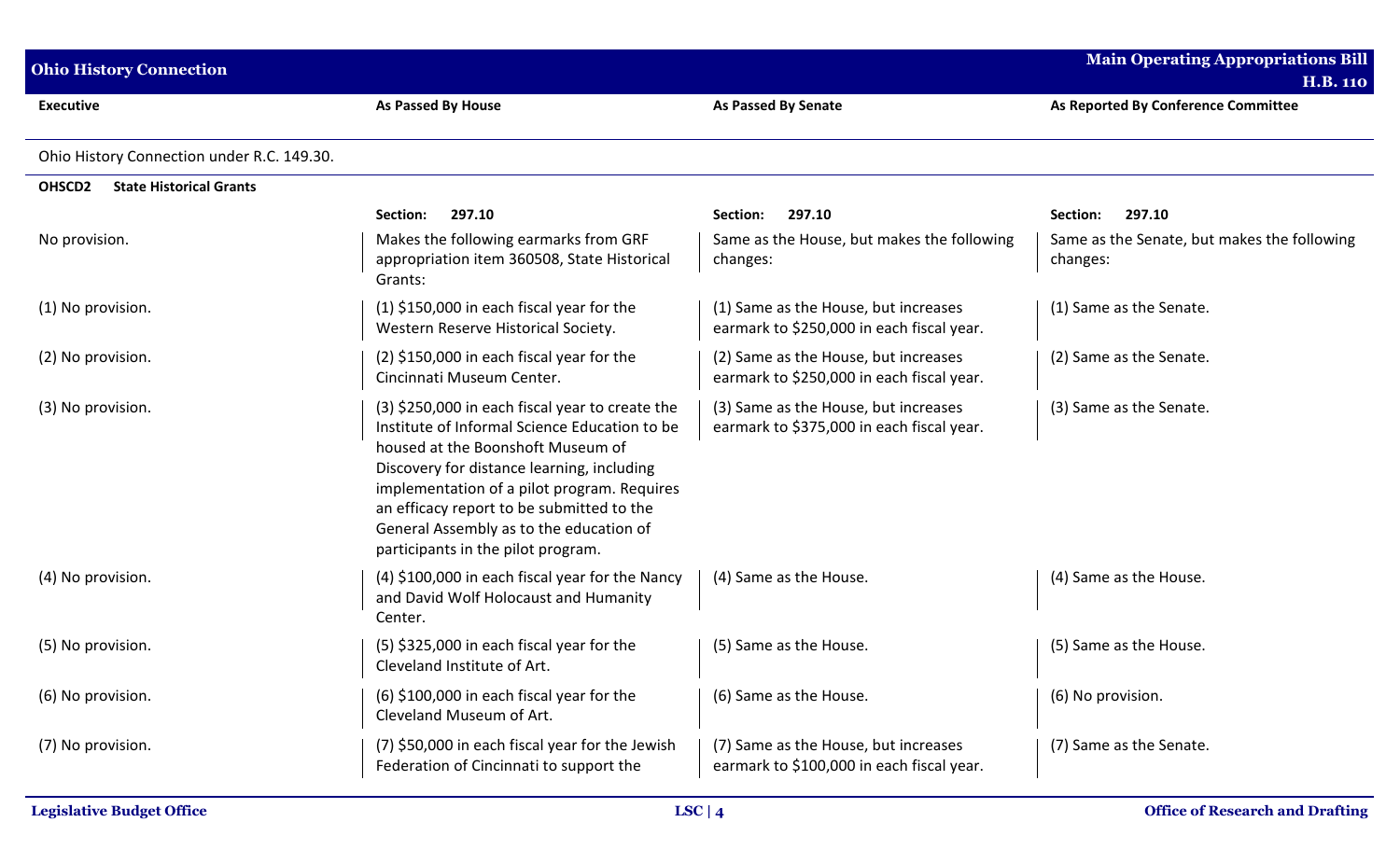| <b>Ohio History Connection</b>                       |                                                                                                                                                                                                                                                                                                                                                                  |                                                                                   | <b>Main Operating Appropriations Bill</b><br><b>H.B. 110</b> |
|------------------------------------------------------|------------------------------------------------------------------------------------------------------------------------------------------------------------------------------------------------------------------------------------------------------------------------------------------------------------------------------------------------------------------|-----------------------------------------------------------------------------------|--------------------------------------------------------------|
| <b>Executive</b>                                     | <b>As Passed By House</b>                                                                                                                                                                                                                                                                                                                                        | <b>As Passed By Senate</b>                                                        | As Reported By Conference Committee                          |
| Ohio History Connection under R.C. 149.30.           |                                                                                                                                                                                                                                                                                                                                                                  |                                                                                   |                                                              |
| OHSCD <sub>2</sub><br><b>State Historical Grants</b> |                                                                                                                                                                                                                                                                                                                                                                  |                                                                                   |                                                              |
|                                                      | 297.10<br>Section:                                                                                                                                                                                                                                                                                                                                               | 297.10<br>Section:                                                                | 297.10<br>Section:                                           |
| No provision.                                        | Makes the following earmarks from GRF<br>appropriation item 360508, State Historical<br>Grants:                                                                                                                                                                                                                                                                  | Same as the House, but makes the following<br>changes:                            | Same as the Senate, but makes the following<br>changes:      |
| (1) No provision.                                    | $(1)$ \$150,000 in each fiscal year for the<br>Western Reserve Historical Society.                                                                                                                                                                                                                                                                               | (1) Same as the House, but increases<br>earmark to \$250,000 in each fiscal year. | (1) Same as the Senate.                                      |
| (2) No provision.                                    | $(2)$ \$150,000 in each fiscal year for the<br>Cincinnati Museum Center.                                                                                                                                                                                                                                                                                         | (2) Same as the House, but increases<br>earmark to \$250,000 in each fiscal year. | (2) Same as the Senate.                                      |
| (3) No provision.                                    | (3) \$250,000 in each fiscal year to create the<br>Institute of Informal Science Education to be<br>housed at the Boonshoft Museum of<br>Discovery for distance learning, including<br>implementation of a pilot program. Requires<br>an efficacy report to be submitted to the<br>General Assembly as to the education of<br>participants in the pilot program. | (3) Same as the House, but increases<br>earmark to \$375,000 in each fiscal year. | (3) Same as the Senate.                                      |
| (4) No provision.                                    | (4) \$100,000 in each fiscal year for the Nancy<br>and David Wolf Holocaust and Humanity<br>Center.                                                                                                                                                                                                                                                              | (4) Same as the House.                                                            | (4) Same as the House.                                       |
| (5) No provision.                                    | $(5)$ \$325,000 in each fiscal year for the<br>Cleveland Institute of Art.                                                                                                                                                                                                                                                                                       | (5) Same as the House.                                                            | (5) Same as the House.                                       |
| (6) No provision.                                    | $(6)$ \$100,000 in each fiscal year for the<br>Cleveland Museum of Art.                                                                                                                                                                                                                                                                                          | (6) Same as the House.                                                            | (6) No provision.                                            |
| (7) No provision.                                    | (7) \$50,000 in each fiscal year for the Jewish<br>Federation of Cincinnati to support the                                                                                                                                                                                                                                                                       | (7) Same as the House, but increases<br>earmark to \$100,000 in each fiscal year. | (7) Same as the Senate.                                      |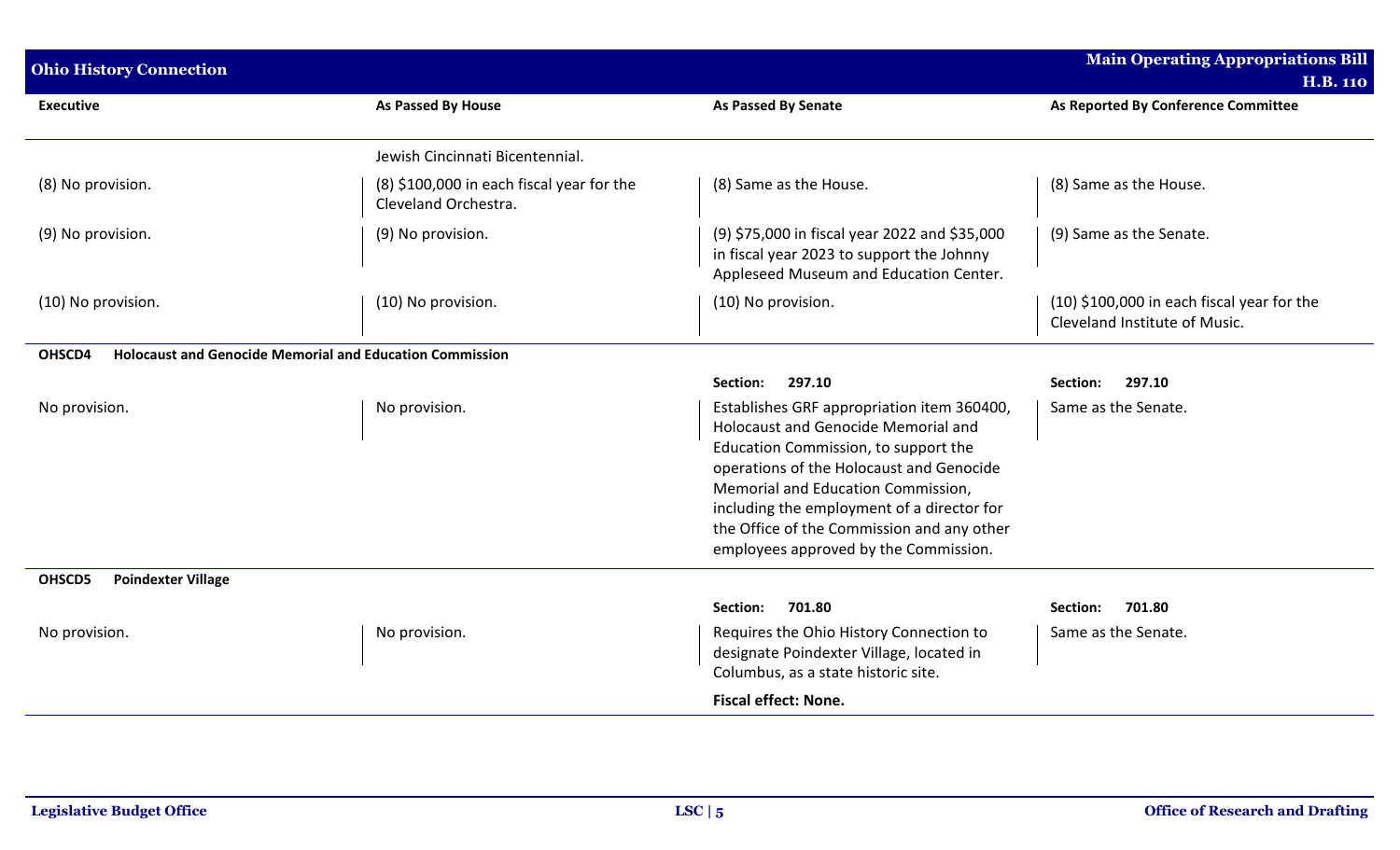| <b>Ohio History Connection</b>                                            |                                                                   |                                                                                                                                                                                                                                                                                                                                                  | <b>Main Operating Appropriations Bill</b><br><b>H.B. 110</b>                  |  |
|---------------------------------------------------------------------------|-------------------------------------------------------------------|--------------------------------------------------------------------------------------------------------------------------------------------------------------------------------------------------------------------------------------------------------------------------------------------------------------------------------------------------|-------------------------------------------------------------------------------|--|
| <b>Executive</b>                                                          | <b>As Passed By House</b>                                         | <b>As Passed By Senate</b>                                                                                                                                                                                                                                                                                                                       | As Reported By Conference Committee                                           |  |
|                                                                           | Jewish Cincinnati Bicentennial.                                   |                                                                                                                                                                                                                                                                                                                                                  |                                                                               |  |
| (8) No provision.                                                         | (8) \$100,000 in each fiscal year for the<br>Cleveland Orchestra. | (8) Same as the House.                                                                                                                                                                                                                                                                                                                           | (8) Same as the House.                                                        |  |
| (9) No provision.                                                         | (9) No provision.                                                 | (9) \$75,000 in fiscal year 2022 and \$35,000<br>in fiscal year 2023 to support the Johnny<br>Appleseed Museum and Education Center.                                                                                                                                                                                                             | (9) Same as the Senate.                                                       |  |
| (10) No provision.                                                        | (10) No provision.                                                | (10) No provision.                                                                                                                                                                                                                                                                                                                               | $(10)$ \$100,000 in each fiscal year for the<br>Cleveland Institute of Music. |  |
| OHSCD4<br><b>Holocaust and Genocide Memorial and Education Commission</b> |                                                                   |                                                                                                                                                                                                                                                                                                                                                  |                                                                               |  |
|                                                                           |                                                                   | 297.10<br>Section:                                                                                                                                                                                                                                                                                                                               | 297.10<br>Section:                                                            |  |
| No provision.                                                             | No provision.                                                     | Establishes GRF appropriation item 360400,<br>Holocaust and Genocide Memorial and<br>Education Commission, to support the<br>operations of the Holocaust and Genocide<br>Memorial and Education Commission,<br>including the employment of a director for<br>the Office of the Commission and any other<br>employees approved by the Commission. | Same as the Senate.                                                           |  |
| <b>Poindexter Village</b><br>OHSCD5                                       |                                                                   |                                                                                                                                                                                                                                                                                                                                                  |                                                                               |  |
|                                                                           |                                                                   | 701.80<br>Section:                                                                                                                                                                                                                                                                                                                               | 701.80<br>Section:                                                            |  |
| No provision.                                                             | No provision.                                                     | Requires the Ohio History Connection to<br>designate Poindexter Village, located in<br>Columbus, as a state historic site.<br><b>Fiscal effect: None.</b>                                                                                                                                                                                        | Same as the Senate.                                                           |  |
|                                                                           |                                                                   |                                                                                                                                                                                                                                                                                                                                                  |                                                                               |  |